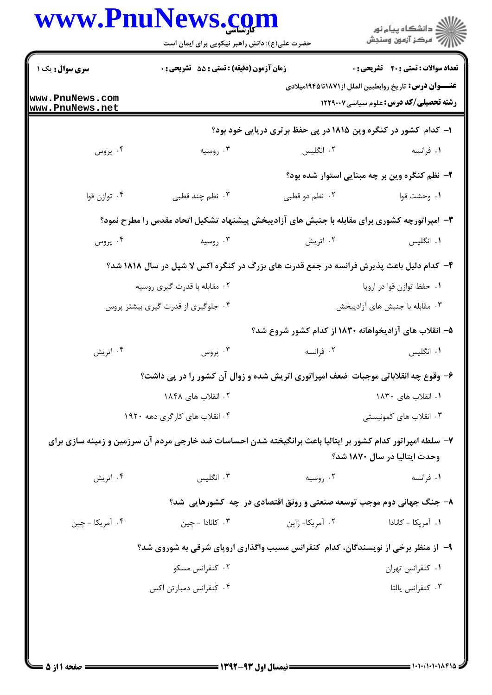| www.PnuNews.com                    | حضرت علی(ع): دانش راهبر نیکویی برای ایمان است                                                              |                                                                     | انشڪاه پيام نور<br> 7  مرڪز آزمون وسنڊش                                                                               |
|------------------------------------|------------------------------------------------------------------------------------------------------------|---------------------------------------------------------------------|-----------------------------------------------------------------------------------------------------------------------|
| <b>سری سوال :</b> یک ۱             | <b>زمان آزمون (دقیقه) : تستی : 55 تشریحی : 0</b>                                                           |                                                                     | <b>تعداد سوالات : تستی : 40 - تشریحی : 0</b>                                                                          |
| www.PnuNews.com<br>www.PnuNews.net |                                                                                                            |                                                                     | <mark>عنــــوان درس :</mark> تاريخ روابطبين الملل از١٨٧١تا ١٩٤۵ميلادي<br><b>رشته تحصیلی/کد درس:</b> علوم سیاسی1۲۲۹۰۰۷ |
|                                    |                                                                                                            | ۱- کدام کشور در کنگره وین ۱۸۱۵ در پی حفظ برتری دریایی خود بود؟      |                                                                                                                       |
| ۰۴ پروس                            | ۰۳ روسیه                                                                                                   | ۰۲ انگلیس                                                           | ۰۱ فرانسه                                                                                                             |
|                                    |                                                                                                            |                                                                     | ۲- نظم کنگره وین بر چه مبنایی استوار شده بود؟                                                                         |
| ۰۴ توازن قوا                       | ۰۳ نظم چند قطبی                                                                                            | ۰۲ نظم دو قطبی                                                      | ۰۱ وحشت قوا                                                                                                           |
|                                    | ۳- امپراتورچه کشوری برای مقابله با جنبش های آزادیبخش پیشنهاد تشکیل اتحاد مقدس را مطرح نمود؟                |                                                                     |                                                                                                                       |
| ۰۴ پروس                            | ۰۳ روسیه                                                                                                   | ۰۲ اتریش                                                            | ۰۱ انگلیس                                                                                                             |
|                                    | ۴- کدام دلیل باعث پذیرش فرانسه در جمع قدرت های بزرگ در کنگره اکس لا شپل در سال ۱۸۱۸ شد؟                    |                                                                     |                                                                                                                       |
|                                    | ۰۲ مقابله با قدرت گیری روسیه                                                                               | ۰۱ حفظ توازن قوا در اروپا                                           |                                                                                                                       |
|                                    | ۰۴ جلوگیری از قدرت گیری بیشتر پروس                                                                         |                                                                     | ۰۳ مقابله با جنبش های آزادیبخش                                                                                        |
|                                    |                                                                                                            | ۵– انقلاب های آزادیخواهانه ۱۸۳۰ از کدام کشور شروع شد؟               |                                                                                                                       |
| ۰۴ اتریش                           | ۰۳ پروس                                                                                                    | ۰۲ فرانسه                                                           | ۰۱ انگلیس                                                                                                             |
|                                    | ۶- وقوع چه انقلاباتی موجبات  ضعف امپراتوری اتریش شده و زوال آن کشور را در پی داشت؟                         |                                                                     |                                                                                                                       |
|                                    | ۰۲ انقلاب های ۱۸۴۸                                                                                         |                                                                     | ۰۱ انقلاب های ۱۸۳۰                                                                                                    |
|                                    | ۰۴ انقلاب های کارگری دهه ۱۹۲۰                                                                              |                                                                     | ۰۳ انقلاب های کمونیستی                                                                                                |
|                                    | ۷– سلطه امپراتور کدام کشور بر ایتالیا باعث برانگیخته شدن احساسات ضد خارجی مردم آن سرزمین و زمینه سازی برای |                                                                     |                                                                                                                       |
|                                    |                                                                                                            |                                                                     | وحدت ایتالیا در سال ۱۸۷۰ شد؟                                                                                          |
| ۰۴ اتریش                           | ۰۳ انگلیس                                                                                                  | ۰۲ روسیه                                                            | ۰۱ فرانسه                                                                                                             |
|                                    |                                                                                                            | ۸- جنگ جهانی دوم موجب توسعه صنعتی و رونق اقتصادی در چه کشورهایی شد؟ |                                                                                                                       |
| ۰۴ آمریکا - چین                    | ۰۳ کانادا - چین                                                                                            | ۰۲ آمریکا- ژاپن                                                     | ۰۱ آمریکا - کانادا                                                                                                    |
|                                    | ۹- از منظر برخی از نویسندگان، کدام کنفرانس مسبب واگذاری اروپای شرقی به شوروی شد؟                           |                                                                     |                                                                                                                       |
|                                    | ۰۲ کنفرانس مسکو                                                                                            |                                                                     | ۰۱ كنفرانس تهران                                                                                                      |
|                                    | ۰۴ کنفرانس دمبارتن اکس                                                                                     |                                                                     | ۰۳ كنفرانس يالتا                                                                                                      |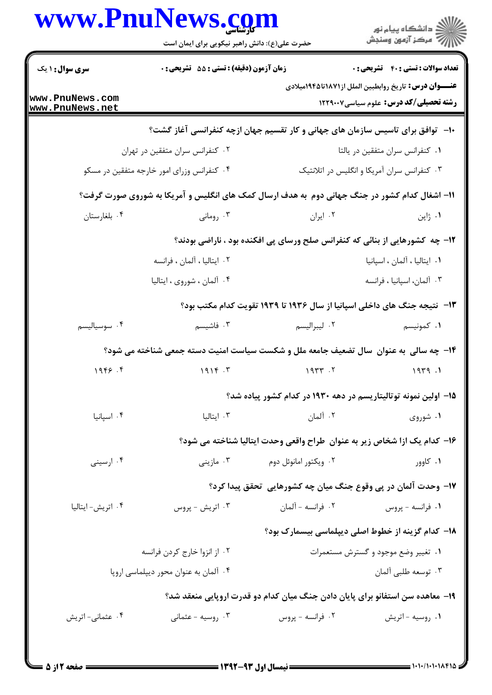| www.PnuNews.com                    | حضرت علی(ع): دانش راهبر نیکویی برای ایمان است |                                                                                               |                                                                                                               |
|------------------------------------|-----------------------------------------------|-----------------------------------------------------------------------------------------------|---------------------------------------------------------------------------------------------------------------|
| <b>سری سوال : ۱ یک</b>             | زمان آزمون (دقیقه) : تستی : 55 آتشریحی : 0    |                                                                                               | <b>تعداد سوالات : تستی : 40 - تشریحی : 0</b>                                                                  |
| www.PnuNews.com<br>www.PnuNews.net |                                               |                                                                                               | <b>عنــــوان درس:</b> تاريخ روابطبين الملل از١٨٧١تا١٩٤٤ميلادي<br><b>رشته تحصیلی/کد درس:</b> علوم سیاسی1۲۲۹۰۰۷ |
|                                    |                                               | ۱۰− توافق برای تاسیس سازمان های جهانی و کار تقسیم جهان ازچه کنفرانسی آغاز گشت؟                |                                                                                                               |
|                                    | ۰۲ کنفرانس سران متفقین در تهران               |                                                                                               | ٠١ كنفرانس سران متفقين در يالتا                                                                               |
|                                    | ۰۴ کنفرانس وزرای امور خارجه متفقین در مسکو    |                                                                                               | ۰۳ کنفرانس سران آمریکا و انگلیس در اتلانتیک                                                                   |
|                                    |                                               | 11- اشغال کدام کشور در جنگ جهانی دوم به هدف ارسال کمک های انگلیس و آمریکا به شوروی صورت گرفت؟ |                                                                                                               |
| ۰۴ بلغارستان                       | ۰۳ رومانی                                     | ۰۲ ایران                                                                                      | ۰۱ ژاپن                                                                                                       |
|                                    |                                               | ۱۲- چه کشورهایی از بنائی که کنفرانس صلح ورسای پی افکنده بود ، ناراضی بودند؟                   |                                                                                                               |
|                                    | ۰۲ ایتالیا ، آلمان ، فرانسه                   |                                                                                               | ٠١. ايتاليا ، آلمان ، اسپانيا                                                                                 |
|                                    | ۰۴ آلمان ، شوروی ، ایتالیا                    |                                                                                               | ۰۳ آلمان، اسپانیا ، فرانسه                                                                                    |
|                                    |                                               | ۱۳-   نتیجه جنگ های داخلی اسپانیا از سال ۱۹۳۶ تا ۱۹۳۹ تقویت کدام مکتب بود؟                    |                                                                                                               |
| ۰۴ سوسیالیسم                       | ۰۳ فاشیسم                                     | ۰۲ ليبراليسم                                                                                  | ۰۱ کمونیسم                                                                                                    |
|                                    |                                               | ۱۴- چه سالی به عنوان ًسال تضعیف جامعه ملل و شکست سیاست امنیت دسته جمعی شناخته می شود؟         |                                                                                                               |
| 1999.5                             | 1916.7                                        | ۲. ۱۹۳۳                                                                                       | ۱. ۱۹۳۹                                                                                                       |
|                                    |                                               | ۱۵– اولین نمونه توتالیتاریسم در دهه ۱۹۳۰ در کدام کشور پیاده شد؟                               |                                                                                                               |
| ۰۴ اسپانیا                         | ۰۳ ایتالیا                                    | ۰۲ آلمان                                                                                      | ۰۱ شوروی                                                                                                      |
|                                    |                                               | ۱۶– کدام یک ازا شخاص زیر به عنوان ًطراح واقعی وحدت ایتالیا شناخته می شود؟                     |                                                                                                               |
| ۰۴ ارسینی                          | ۰۳ مازینی                                     | ۰۲ ویکتور امانوئل دوم                                                                         | ۰۱ کاوور                                                                                                      |
|                                    |                                               | ۱۷– وحدت آلمان در پی وقوع جنگ میان چه کشورهایی تحقق پیدا کرد؟                                 |                                                                                                               |
| ۰۴ اتریش- ایتالیا                  | ۰۳ اتریش - پروس                               | ٢. فرانسه - آلمان                                                                             | ۰۱ فرانسه - پروس                                                                                              |
|                                    |                                               | <b>۱۸</b> – کدام گزینه از خطوط اصلی دیپلماسی بیسمارک بود؟                                     |                                                                                                               |
|                                    | ۰۲ از انزوا خارج کردن فرانسه                  |                                                                                               | ۰۱ تغییر وضع موجود و گسترش مستعمرات                                                                           |
|                                    | ۰۴ آلمان به عنوان محور دیپلماسی اروپا         |                                                                                               | ۰۳ توسعه طلبي آلمان                                                                                           |
|                                    |                                               | ۱۹- معاهده سن استفانو برای پایان دادن جنگ میان کدام دو قدرت اروپایی منعقد شد؟                 |                                                                                                               |
| ۰۴ عثمانی- اتریش                   | ۰۳ روسیه - عثمانی                             | ۰۲ فرانسه - پروس                                                                              | ۰۱ روسیه - اتریش                                                                                              |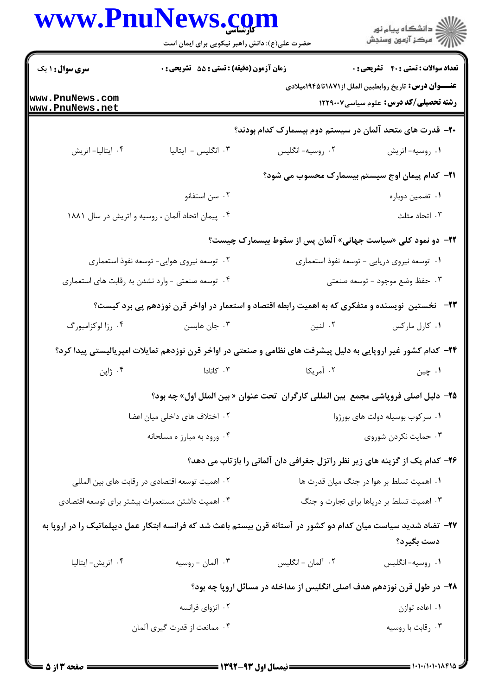|                              | www.PnuNews.com                                                                                                 |                                                                                    | الاد دانشگاه پيام نور<br>  > مرکز آزمون وسنجش                                                                 |  |
|------------------------------|-----------------------------------------------------------------------------------------------------------------|------------------------------------------------------------------------------------|---------------------------------------------------------------------------------------------------------------|--|
|                              | حضرت علی(ع): دانش راهبر نیکویی برای ایمان است                                                                   |                                                                                    |                                                                                                               |  |
| سری سوال: ۱ یک               | زمان آزمون (دقیقه) : تستی : 55 آتشریحی : 0                                                                      |                                                                                    | <b>تعداد سوالات : تستي : 40 - تشريحي : 0</b>                                                                  |  |
| www.PnuNews.com              |                                                                                                                 |                                                                                    | <b>عنــــوان درس:</b> تاریخ روابطبین الملل از۱۸۷۱تا۱۹۴۵میلادی<br><b>رشته تحصیلی/کد درس:</b> علوم سیاسی1۲۲۹۰۰۷ |  |
| www.PnuNews.net              |                                                                                                                 |                                                                                    |                                                                                                               |  |
| ۰۴ ایتالیا- اتریش            | ٠٣ انگليس - ايتاليا                                                                                             | ۲۰– قدرت های متحد آلمان در سیستم دوم بیسمارک کدام بودند؟<br>۰۲ روسيه-انگليس        | ٠١ روسيه-اتريش                                                                                                |  |
|                              |                                                                                                                 |                                                                                    |                                                                                                               |  |
|                              |                                                                                                                 |                                                                                    | <b>۲۱</b> - کدام پیمان اوج سیستم بیسمارک محسوب می شود؟                                                        |  |
|                              | ۰۲ سن استفانو                                                                                                   |                                                                                    | ۰۱ تضمین دوباره<br>۰۳ اتحاد مثلث                                                                              |  |
|                              | ۴. پیمان اتحاد آلمان ، روسیه و اتریش در سال ۱۸۸۱                                                                |                                                                                    |                                                                                                               |  |
|                              |                                                                                                                 | <b>۲۲</b> - دو نمود کلی «سیاست جهانی» آلمان پس از سقوط بیسمارک چیست؟               |                                                                                                               |  |
|                              | ۰۲ توسعه نیروی هوایی- توسعه نفوذ استعماری                                                                       | ۰۱ توسعه نیروی دریایی - توسعه نفوذ استعماری                                        |                                                                                                               |  |
|                              | ۰۴ توسعه صنعتی - وارد نشدن به رقابت های استعماری                                                                |                                                                                    | ۰۳ حفظ وضع موجود - توسعه صنعتى                                                                                |  |
|                              | ۲۳–۔ نخستین نویسنده و متفکری که به اهمیت رابطه اقتصاد و استعمار در اواخر قرن نوزدهم پی برد کیست؟                |                                                                                    |                                                                                                               |  |
| ۰۴ رزا لوکزامبورگ            | ۰۳ جان هابسن                                                                                                    | ۰۲ لنین                                                                            | ۰۱ کارل مارکس                                                                                                 |  |
|                              | ۲۴- کدام کشور غیر اروپایی به دلیل پیشرفت های نظامی و صنعتی در اواخر قرن نوزدهم تمایلات امپریالیستی پیدا کرد؟    |                                                                                    |                                                                                                               |  |
| ۰۴ ژاپن                      | ۰۳ کانادا                                                                                                       | ۰۲ آمریکا                                                                          | ۰۱ چين                                                                                                        |  |
|                              |                                                                                                                 | 7۵- دلیل اصلی فروپاشی مجمع  بین المللی کارگران  تحت عنوان « بین الملل اول» چه بود؟ |                                                                                                               |  |
|                              | ۰۲ اختلاف های داخلی میان اعضا                                                                                   |                                                                                    | ٠١ سركوب بوسيله دولت هاى بورژوا                                                                               |  |
|                              | ۰۴ ورود به مبارز ه مسلحانه                                                                                      |                                                                                    | ۰۳ حمایت نکردن شوروی                                                                                          |  |
|                              |                                                                                                                 | ۲۶– کدام یک از گزینه های زیر نظر راتزل جغرافی دان آلمانی را بازتاب می دهد؟         |                                                                                                               |  |
|                              | ۰۲ اهمیت توسعه اقتصادی در رقابت های بین المللی                                                                  | ۰۱ اهمیت تسلط بر هوا در جنگ میان قدرت ها                                           |                                                                                                               |  |
|                              | ۰۴ اهمیت داشتن مستعمرات بیشتر برای توسعه اقتصادی                                                                | ۰۳ اهمیت تسلط بر دریاها برای تجارت و جنگ                                           |                                                                                                               |  |
|                              | ۲۷– تضاد شدید سیاست میان کدام دو کشور در آستانه قرن بیستم باعث شد که فرانسه ابتکار عمل دیپلماتیک را در اروپا به |                                                                                    |                                                                                                               |  |
|                              |                                                                                                                 |                                                                                    | دست بگيرد؟                                                                                                    |  |
| ۰۴ اتریش- ایتالیا            | ۰۳ آلمان - روسيه                                                                                                | ۰۲ آلمان - انگلیس                                                                  | ٠١ روسيه-انگليس                                                                                               |  |
|                              |                                                                                                                 | ۲۸– در طول قرن نوزدهم هدف اصلی انگلیس از مداخله در مسائل اروپا چه بود؟             |                                                                                                               |  |
|                              | ۰۲ انزوای فرانسه                                                                                                |                                                                                    | ۰۱ اعاده توازن                                                                                                |  |
| ۰۴ ممانعت از قدرت گیری آلمان |                                                                                                                 |                                                                                    | ۰۳ رقابت با روسیه                                                                                             |  |
|                              |                                                                                                                 |                                                                                    |                                                                                                               |  |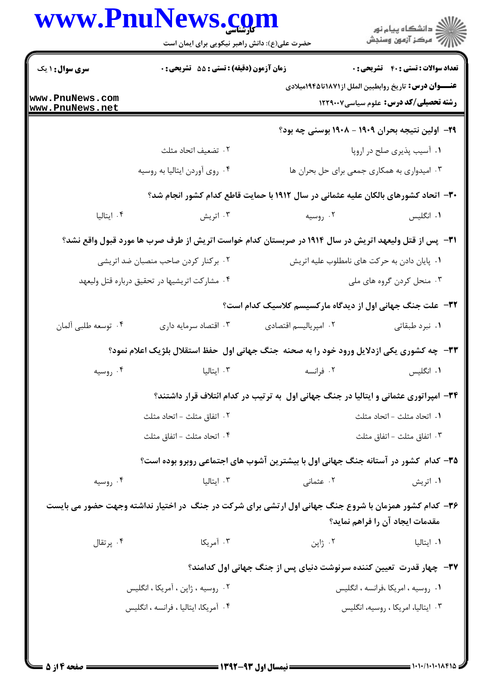|                                    | www.PnuNews.com<br>حضرت علی(ع): دانش راهبر نیکویی برای ایمان است                                      |                                                                                      | الارد دانشگاه پيام نور<br>۱۳۱۸ - مرکز آزمون وسنجش                                                             |
|------------------------------------|-------------------------------------------------------------------------------------------------------|--------------------------------------------------------------------------------------|---------------------------------------------------------------------------------------------------------------|
|                                    |                                                                                                       |                                                                                      |                                                                                                               |
| <b>سری سوال : ۱ یک</b>             | زمان آزمون (دقیقه) : تستی : 55 آتشریحی : 0                                                            |                                                                                      | <b>تعداد سوالات : تستي : 40 ٪ تشریحي : 0</b><br><b>عنــــوان درس:</b> تاریخ روابطبین الملل از۱۸۷۱تا۱۹۴۵میلادی |
| www.PnuNews.com<br>www.PnuNews.net |                                                                                                       |                                                                                      | <b>رشته تحصیلی/کد درس:</b> علوم سیاسی۱۲۲۹۰۰۷                                                                  |
|                                    |                                                                                                       |                                                                                      | ۲۹– اولین نتیجه بحران ۱۹۰۹ – ۱۹۰۸ بوسنی چه بود؟                                                               |
|                                    | ٢. تضعيف اتحاد مثلث                                                                                   |                                                                                      | ۰۱ آسیب پذیری صلح در اروپا                                                                                    |
|                                    | ۰۴ روى آوردن ايتاليا به روسيه                                                                         |                                                                                      | ۰۳ امیدواری به همکاری جمعی برای حل بحران ها                                                                   |
|                                    |                                                                                                       | ۳۰– اتحاد کشورهای بالکان علیه عثمانی در سال ۱۹۱۲ با حمایت قاطع کدام کشور انجام شد؟   |                                                                                                               |
| ۰۴ ایتالیا                         | ۰۳ اتریش                                                                                              | ۰۲ روسیه                                                                             | ۰۱ انگلیس                                                                                                     |
|                                    | ۳۱– پس از قتل ولیعهد اتریش در سال ۱۹۱۴ در صربستان کدام خواست اتریش از طرف صرب ها مورد قبول واقع نشد؟  |                                                                                      |                                                                                                               |
|                                    | ۰۲ برکنار کردن صاحب منصبان ضد اتریشی                                                                  |                                                                                      | ۰۱ پایان دادن به حرکت های نامطلوب علیه اتریش                                                                  |
|                                    | ۰۴ مشارکت اتریشیها در تحقیق درباره قتل ولیعهد                                                         |                                                                                      | ۰۳ منحل کردن گروه های ملی                                                                                     |
|                                    |                                                                                                       | <b>۳۲</b> - علت جنگ جهانی اول از دیدگاه مارکسیسم کلاسیک کدام است؟                    |                                                                                                               |
| ۴. توسعه طلبي ألمان                | ۰۳ اقتصاد سرمايه داري                                                                                 | ٠٢ امپرياليسم اقتصادى                                                                | ٠١ نبرد طبقاتي                                                                                                |
|                                    | <b>33- چه کشوری یکی ازدلایل ورود خود را به صحنه  جنگ جهانی اول  حفظ استقلال بلژیک اعلام نمود؟</b>     |                                                                                      |                                                                                                               |
| ۰۴ روسیه                           | ۰۳ ایتالیا                                                                                            | ۰۲ فرانسه                                                                            | ۰۱ انگلیس                                                                                                     |
|                                    |                                                                                                       | ۳۴- امپراتوری عثمانی و ایتالیا در جنگ جهانی اول به ترتیب در کدام ائتلاف قرار داشتند؟ |                                                                                                               |
|                                    | ۰۲ اتفاق مثلث – اتحاد مثلث                                                                            |                                                                                      | ٠١. اتحاد مثلث - اتحاد مثلث                                                                                   |
|                                    | ۰۴ اتحاد مثلث - اتفاق مثلث                                                                            |                                                                                      | ٠٣ اتفاق مثلث – اتفاق مثلث                                                                                    |
|                                    | ۳۵- کدام کشور در آستانه جنگ جهانی اول با بیشترین آشوب های اجتماعی روبرو بوده است؟                     |                                                                                      |                                                                                                               |
| ۰۴ روسیه                           | ۰۳ ایتالیا                                                                                            | ۰۲ عثمانی                                                                            | ۰۱ اتریش                                                                                                      |
|                                    | ۳۶- کدام کشور همزمان با شروع جنگ جهانی اول ارتشی برای شرکت در جنگ در اختیار نداشته وجهت حضور می بایست |                                                                                      | مقدمات ایجاد آن را فراهم نماید؟                                                                               |
| ۰۴ پرتقال                          | ۰۳ آمریکا                                                                                             | ۰۲ ژاپن                                                                              | ۰۱ ایتالیا                                                                                                    |
|                                    |                                                                                                       | ۳۷-  چهار قدرت  تعیین کننده سرنوشت دنیای پس از جنگ جهانی اول کدامند؟                 |                                                                                                               |
|                                    | ۰۲ روسیه ، ژاپن ، آمریکا ، انگلیس                                                                     |                                                                                      | ٠١ روسيه ، امريكا ،فرانسه ، انگليس                                                                            |
|                                    | ۰۴ آمریکا، ایتالیا ، فرانسه ، انگلیس                                                                  |                                                                                      | ۰۳ ایتالیا، امریکا ، روسیه، انگلیس                                                                            |